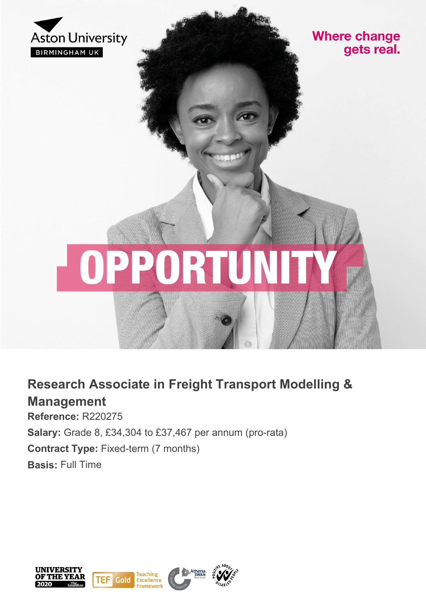

**Where change** gets real.

# OPPORTUN

## **Research Associate in Freight Transport Modelling & Management**

**Reference:** R220275 **Salary:** Grade 8, £34,304 to £37,467 per annum (pro-rata) **Contract Type:** Fixed-term (7 months) **Basis:** Full Time

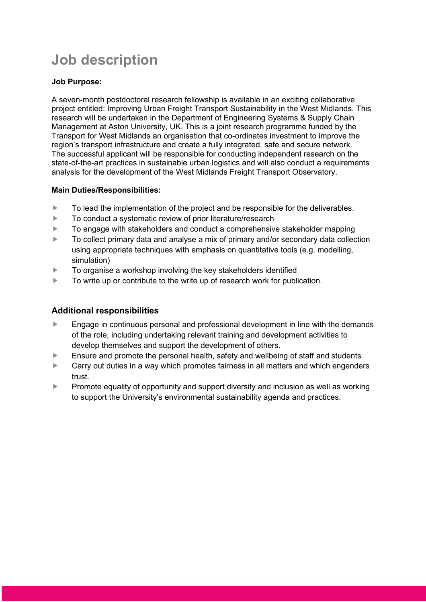## **Job description**

#### **Job Purpose:**

A seven-month postdoctoral research fellowship is available in an exciting collaborative project entitled: Improving Urban Freight Transport Sustainability in the West Midlands. This research will be undertaken in the Department of Engineering Systems & Supply Chain Management at Aston University, UK. This is a joint research programme funded by the Transport for West Midlands an organisation that co-ordinates investment to improve the region's transport infrastructure and create a fully integrated, safe and secure network. The successful applicant will be responsible for conducting independent research on the state-of-the-art practices in sustainable urban logistics and will also conduct a requirements analysis for the development of the West Midlands Freight Transport Observatory.

#### **Main Duties/Responsibilities:**

- $\blacktriangleright$  To lead the implementation of the project and be responsible for the deliverables.
- ▶ To conduct a systematic review of prior literature/research
- ▶ To engage with stakeholders and conduct a comprehensive stakeholder mapping
- ► To collect primary data and analyse a mix of primary and/or secondary data collection using appropriate techniques with emphasis on quantitative tools (e.g. modelling, simulation)
- $\blacktriangleright$  To organise a workshop involving the key stakeholders identified
- $\blacktriangleright$  To write up or contribute to the write up of research work for publication.

#### **Additional responsibilities**

- **Engage in continuous personal and professional development in line with the demands** of the role, including undertaking relevant training and development activities to develop themselves and support the development of others.
- Ensure and promote the personal health, safety and wellbeing of staff and students.
- $\blacktriangleright$  Carry out duties in a way which promotes fairness in all matters and which engenders trust.
- **Promote equality of opportunity and support diversity and inclusion as well as working** to support the University's environmental sustainability agenda and practices.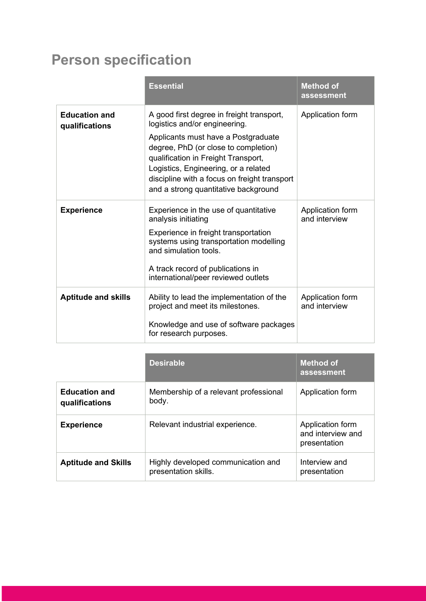## **Person specification**

|                                        | <b>Essential</b>                                                                                                                                                                                                                                                                                                                 | <b>Method of</b><br>assessment    |
|----------------------------------------|----------------------------------------------------------------------------------------------------------------------------------------------------------------------------------------------------------------------------------------------------------------------------------------------------------------------------------|-----------------------------------|
| <b>Education and</b><br>qualifications | A good first degree in freight transport,<br>logistics and/or engineering.<br>Applicants must have a Postgraduate<br>degree, PhD (or close to completion)<br>qualification in Freight Transport,<br>Logistics, Engineering, or a related<br>discipline with a focus on freight transport<br>and a strong quantitative background | Application form                  |
| <b>Experience</b>                      | Experience in the use of quantitative<br>analysis initiating<br>Experience in freight transportation<br>systems using transportation modelling<br>and simulation tools.<br>A track record of publications in<br>international/peer reviewed outlets                                                                              | Application form<br>and interview |
| <b>Aptitude and skills</b>             | Ability to lead the implementation of the<br>project and meet its milestones.<br>Knowledge and use of software packages<br>for research purposes.                                                                                                                                                                                | Application form<br>and interview |

|                                        | <b>Desirable</b>                                           | <b>Method of</b><br>assessment                        |  |
|----------------------------------------|------------------------------------------------------------|-------------------------------------------------------|--|
| <b>Education and</b><br>qualifications | Membership of a relevant professional<br>body.             | Application form                                      |  |
| <b>Experience</b>                      | Relevant industrial experience.                            | Application form<br>and interview and<br>presentation |  |
| <b>Aptitude and Skills</b>             | Highly developed communication and<br>presentation skills. | Interview and<br>presentation                         |  |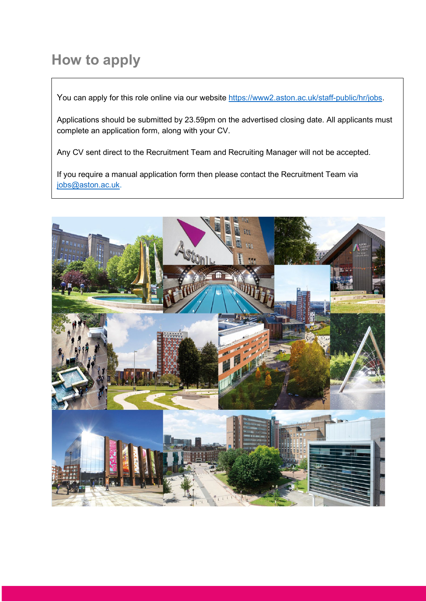## **How to apply**

You can apply for this role online via our website [https://www2.aston.ac.uk/staff-public/hr/jobs.](https://www2.aston.ac.uk/staff-public/hr/jobs)

Applications should be submitted by 23.59pm on the advertised closing date. All applicants must complete an application form, along with your CV.

Any CV sent direct to the Recruitment Team and Recruiting Manager will not be accepted.

If you require a manual application form then please contact the Recruitment Team via [jobs@aston.ac.uk.](mailto:jobs@aston.ac.uk)

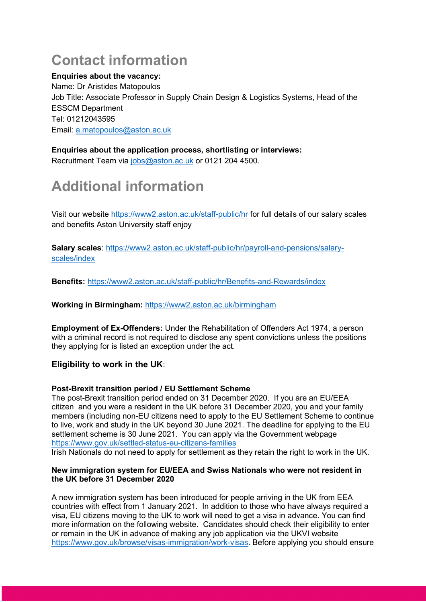## **Contact information**

#### **Enquiries about the vacancy:**

Name: Dr Aristides Matopoulos Job Title: Associate Professor in Supply Chain Design & Logistics Systems, Head of the ESSCM Department Tel: 01212043595 Email: [a.matopoulos@aston.ac.uk](mailto:a.matopoulos@aston.ac.uk)

#### **Enquiries about the application process, shortlisting or interviews:** Recruitment Team via [jobs@aston.ac.uk](mailto:jobs@aston.ac.uk) or 0121 204 4500.

## **Additional information**

Visit our website<https://www2.aston.ac.uk/staff-public/hr> for full details of our salary scales and benefits Aston University staff enjoy

**Salary scales**: [https://www2.aston.ac.uk/staff-public/hr/payroll-and-pensions/salary](https://www2.aston.ac.uk/staff-public/hr/payroll-and-pensions/salary-scales/index)[scales/index](https://www2.aston.ac.uk/staff-public/hr/payroll-and-pensions/salary-scales/index)

**Benefits:** <https://www2.aston.ac.uk/staff-public/hr/Benefits-and-Rewards/index>

#### **Working in Birmingham:** <https://www2.aston.ac.uk/birmingham>

**Employment of Ex-Offenders:** Under the Rehabilitation of Offenders Act 1974, a person with a criminal record is not required to disclose any spent convictions unless the positions they applying for is listed an exception under the act.

#### **Eligibility to work in the UK**:

#### **Post-Brexit transition period / EU Settlement Scheme**

The post-Brexit transition period ended on 31 December 2020. If you are an EU/EEA citizen and you were a resident in the UK before 31 December 2020, you and your family members (including non-EU citizens need to apply to the EU Settlement Scheme to continue to live, work and study in the UK beyond 30 June 2021. The deadline for applying to the EU settlement scheme is 30 June 2021. You can apply via the Government webpage <https://www.gov.uk/settled-status-eu-citizens-families>

Irish Nationals do not need to apply for settlement as they retain the right to work in the UK.

#### **New immigration system for EU/EEA and Swiss Nationals who were not resident in the UK before 31 December 2020**

A new immigration system has been introduced for people arriving in the UK from EEA countries with effect from 1 January 2021. In addition to those who have always required a visa, EU citizens moving to the UK to work will need to get a visa in advance. You can find more information on the following website. Candidates should check their eligibility to enter or remain in the UK in advance of making any job application via the UKVI website [https://www.gov.uk/browse/visas-immigration/work-visas.](https://www.gov.uk/browse/visas-immigration/work-visas) Before applying you should ensure